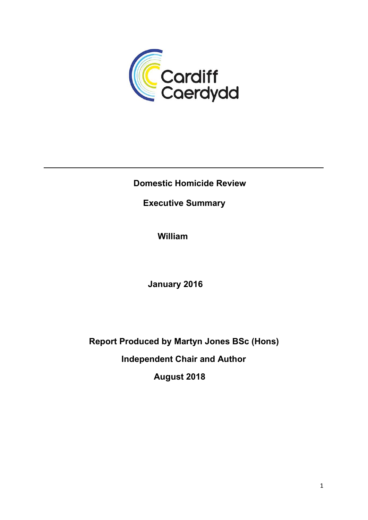

## Domestic Homicide Review

# Executive Summary

William

January 2016

Report Produced by Martyn Jones BSc (Hons) Independent Chair and Author

August 2018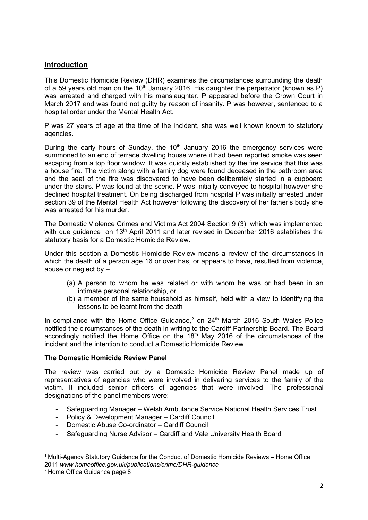## Introduction

This Domestic Homicide Review (DHR) examines the circumstances surrounding the death of a 59 years old man on the 10<sup>th</sup> January 2016. His daughter the perpetrator (known as P) was arrested and charged with his manslaughter. P appeared before the Crown Court in March 2017 and was found not guilty by reason of insanity. P was however, sentenced to a hospital order under the Mental Health Act.

P was 27 years of age at the time of the incident, she was well known known to statutory agencies.

During the early hours of Sunday, the  $10<sup>th</sup>$  January 2016 the emergency services were summoned to an end of terrace dwelling house where it had been reported smoke was seen escaping from a top floor window. It was quickly established by the fire service that this was a house fire. The victim along with a family dog were found deceased in the bathroom area and the seat of the fire was discovered to have been deliberately started in a cupboard under the stairs. P was found at the scene. P was initially conveyed to hospital however she declined hospital treatment. On being discharged from hospital P was initially arrested under section 39 of the Mental Health Act however following the discovery of her father's body she was arrested for his murder.

The Domestic Violence Crimes and Victims Act 2004 Section 9 (3), which was implemented with due guidance<sup>1</sup> on 13<sup>th</sup> April 2011 and later revised in December 2016 establishes the statutory basis for a Domestic Homicide Review.

Under this section a Domestic Homicide Review means a review of the circumstances in which the death of a person age 16 or over has, or appears to have, resulted from violence, abuse or neglect by –

- (a) A person to whom he was related or with whom he was or had been in an intimate personal relationship, or
- (b) a member of the same household as himself, held with a view to identifying the lessons to be learnt from the death

In compliance with the Home Office Guidance, $2$  on  $24<sup>th</sup>$  March 2016 South Wales Police notified the circumstances of the death in writing to the Cardiff Partnership Board. The Board accordingly notified the Home Office on the 18<sup>th</sup> May 2016 of the circumstances of the incident and the intention to conduct a Domestic Homicide Review.

#### The Domestic Homicide Review Panel

The review was carried out by a Domestic Homicide Review Panel made up of representatives of agencies who were involved in delivering services to the family of the victim. It included senior officers of agencies that were involved. The professional designations of the panel members were:

- Safeguarding Manager Welsh Ambulance Service National Health Services Trust.
- Policy & Development Manager Cardiff Council.
- Domestic Abuse Co-ordinator Cardiff Council
- Safeguarding Nurse Advisor Cardiff and Vale University Health Board

<sup>1</sup> Multi-Agency Statutory Guidance for the Conduct of Domestic Homicide Reviews – Home Office 2011 www.homeoffice.gov.uk/publications/crime/DHR-guidance

<sup>2</sup> Home Office Guidance page 8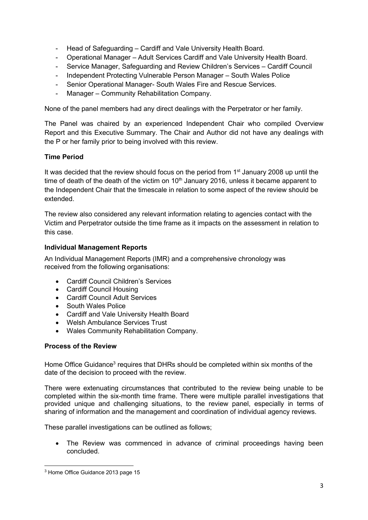- Head of Safeguarding Cardiff and Vale University Health Board.
- Operational Manager Adult Services Cardiff and Vale University Health Board.
- Service Manager, Safeguarding and Review Children's Services Cardiff Council
- Independent Protecting Vulnerable Person Manager South Wales Police
- Senior Operational Manager- South Wales Fire and Rescue Services.
- Manager Community Rehabilitation Company.

None of the panel members had any direct dealings with the Perpetrator or her family.

The Panel was chaired by an experienced Independent Chair who compiled Overview Report and this Executive Summary. The Chair and Author did not have any dealings with the P or her family prior to being involved with this review.

## Time Period

It was decided that the review should focus on the period from 1<sup>st</sup> January 2008 up until the time of death of the death of the victim on  $10<sup>th</sup>$  January 2016, unless it became apparent to the Independent Chair that the timescale in relation to some aspect of the review should be extended.

The review also considered any relevant information relating to agencies contact with the Victim and Perpetrator outside the time frame as it impacts on the assessment in relation to this case.

## Individual Management Reports

An Individual Management Reports (IMR) and a comprehensive chronology was received from the following organisations:

- Cardiff Council Children's Services
- Cardiff Council Housing
- Cardiff Council Adult Services
- South Wales Police
- Cardiff and Vale University Health Board
- Welsh Ambulance Services Trust
- Wales Community Rehabilitation Company.

#### Process of the Review

Home Office Guidance<sup>3</sup> requires that DHRs should be completed within six months of the date of the decision to proceed with the review.

There were extenuating circumstances that contributed to the review being unable to be completed within the six-month time frame. There were multiple parallel investigations that provided unique and challenging situations, to the review panel, especially in terms of sharing of information and the management and coordination of individual agency reviews.

These parallel investigations can be outlined as follows;

 The Review was commenced in advance of criminal proceedings having been concluded.

<sup>&</sup>lt;sup>3</sup> Home Office Guidance 2013 page 15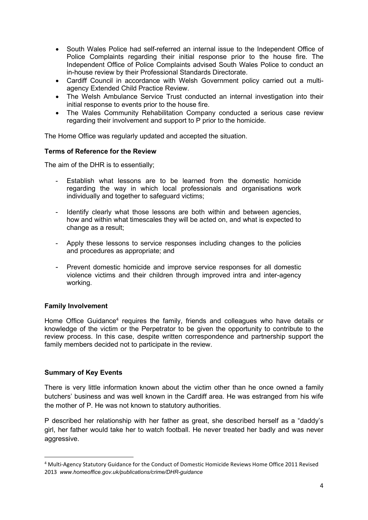- South Wales Police had self-referred an internal issue to the Independent Office of Police Complaints regarding their initial response prior to the house fire. The Independent Office of Police Complaints advised South Wales Police to conduct an in-house review by their Professional Standards Directorate.
- Cardiff Council in accordance with Welsh Government policy carried out a multiagency Extended Child Practice Review.
- The Welsh Ambulance Service Trust conducted an internal investigation into their initial response to events prior to the house fire.
- The Wales Community Rehabilitation Company conducted a serious case review regarding their involvement and support to P prior to the homicide.

The Home Office was regularly updated and accepted the situation.

#### Terms of Reference for the Review

The aim of the DHR is to essentially;

- Establish what lessons are to be learned from the domestic homicide regarding the way in which local professionals and organisations work individually and together to safeguard victims;
- Identify clearly what those lessons are both within and between agencies, how and within what timescales they will be acted on, and what is expected to change as a result;
- Apply these lessons to service responses including changes to the policies and procedures as appropriate; and
- Prevent domestic homicide and improve service responses for all domestic violence victims and their children through improved intra and inter-agency working.

#### Family Involvement

Home Office Guidance<sup>4</sup> requires the family, friends and colleagues who have details or knowledge of the victim or the Perpetrator to be given the opportunity to contribute to the review process. In this case, despite written correspondence and partnership support the family members decided not to participate in the review.

#### Summary of Key Events

There is very little information known about the victim other than he once owned a family butchers' business and was well known in the Cardiff area. He was estranged from his wife the mother of P. He was not known to statutory authorities.

P described her relationship with her father as great, she described herself as a "daddy's girl, her father would take her to watch football. He never treated her badly and was never aggressive.

<sup>4</sup> Multi-Agency Statutory Guidance for the Conduct of Domestic Homicide Reviews Home Office 2011 Revised 2013 www.homeoffice.gov.uk/publications/crime/DHR-quidance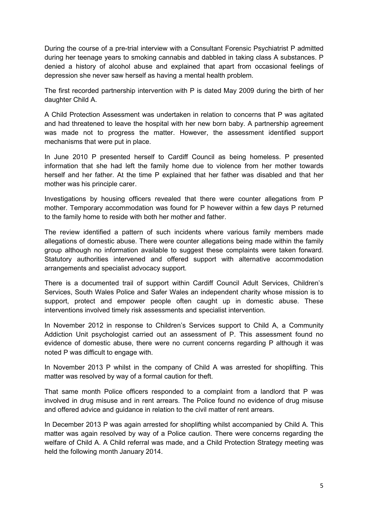During the course of a pre-trial interview with a Consultant Forensic Psychiatrist P admitted during her teenage years to smoking cannabis and dabbled in taking class A substances. P denied a history of alcohol abuse and explained that apart from occasional feelings of depression she never saw herself as having a mental health problem.

The first recorded partnership intervention with P is dated May 2009 during the birth of her daughter Child A.

A Child Protection Assessment was undertaken in relation to concerns that P was agitated and had threatened to leave the hospital with her new born baby. A partnership agreement was made not to progress the matter. However, the assessment identified support mechanisms that were put in place.

In June 2010 P presented herself to Cardiff Council as being homeless. P presented information that she had left the family home due to violence from her mother towards herself and her father. At the time P explained that her father was disabled and that her mother was his principle carer.

Investigations by housing officers revealed that there were counter allegations from P mother. Temporary accommodation was found for P however within a few days P returned to the family home to reside with both her mother and father.

The review identified a pattern of such incidents where various family members made allegations of domestic abuse. There were counter allegations being made within the family group although no information available to suggest these complaints were taken forward. Statutory authorities intervened and offered support with alternative accommodation arrangements and specialist advocacy support.

There is a documented trail of support within Cardiff Council Adult Services, Children's Services, South Wales Police and Safer Wales an independent charity whose mission is to support, protect and empower people often caught up in domestic abuse. These interventions involved timely risk assessments and specialist intervention.

In November 2012 in response to Children's Services support to Child A, a Community Addiction Unit psychologist carried out an assessment of P. This assessment found no evidence of domestic abuse, there were no current concerns regarding P although it was noted P was difficult to engage with.

In November 2013 P whilst in the company of Child A was arrested for shoplifting. This matter was resolved by way of a formal caution for theft.

That same month Police officers responded to a complaint from a landlord that P was involved in drug misuse and in rent arrears. The Police found no evidence of drug misuse and offered advice and guidance in relation to the civil matter of rent arrears.

In December 2013 P was again arrested for shoplifting whilst accompanied by Child A. This matter was again resolved by way of a Police caution. There were concerns regarding the welfare of Child A. A Child referral was made, and a Child Protection Strategy meeting was held the following month January 2014.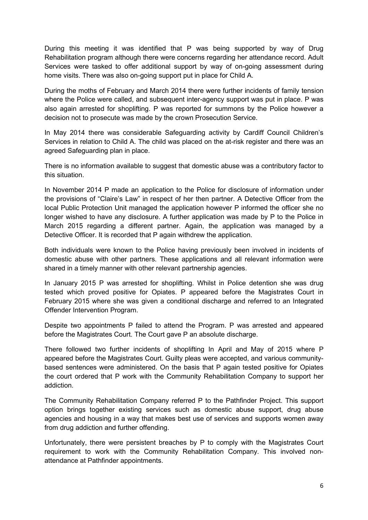During this meeting it was identified that P was being supported by way of Drug Rehabilitation program although there were concerns regarding her attendance record. Adult Services were tasked to offer additional support by way of on-going assessment during home visits. There was also on-going support put in place for Child A.

During the moths of February and March 2014 there were further incidents of family tension where the Police were called, and subsequent inter-agency support was put in place. P was also again arrested for shoplifting. P was reported for summons by the Police however a decision not to prosecute was made by the crown Prosecution Service.

In May 2014 there was considerable Safeguarding activity by Cardiff Council Children's Services in relation to Child A. The child was placed on the at-risk register and there was an agreed Safeguarding plan in place.

There is no information available to suggest that domestic abuse was a contributory factor to this situation.

In November 2014 P made an application to the Police for disclosure of information under the provisions of "Claire's Law" in respect of her then partner. A Detective Officer from the local Public Protection Unit managed the application however P informed the officer she no longer wished to have any disclosure. A further application was made by P to the Police in March 2015 regarding a different partner. Again, the application was managed by a Detective Officer. It is recorded that P again withdrew the application.

Both individuals were known to the Police having previously been involved in incidents of domestic abuse with other partners. These applications and all relevant information were shared in a timely manner with other relevant partnership agencies.

In January 2015 P was arrested for shoplifting. Whilst in Police detention she was drug tested which proved positive for Opiates. P appeared before the Magistrates Court in February 2015 where she was given a conditional discharge and referred to an Integrated Offender Intervention Program.

Despite two appointments P failed to attend the Program. P was arrested and appeared before the Magistrates Court. The Court gave P an absolute discharge.

There followed two further incidents of shoplifting In April and May of 2015 where P appeared before the Magistrates Court. Guilty pleas were accepted, and various communitybased sentences were administered. On the basis that P again tested positive for Opiates the court ordered that P work with the Community Rehabilitation Company to support her addiction.

The Community Rehabilitation Company referred P to the Pathfinder Project. This support option brings together existing services such as domestic abuse support, drug abuse agencies and housing in a way that makes best use of services and supports women away from drug addiction and further offending.

Unfortunately, there were persistent breaches by P to comply with the Magistrates Court requirement to work with the Community Rehabilitation Company. This involved nonattendance at Pathfinder appointments.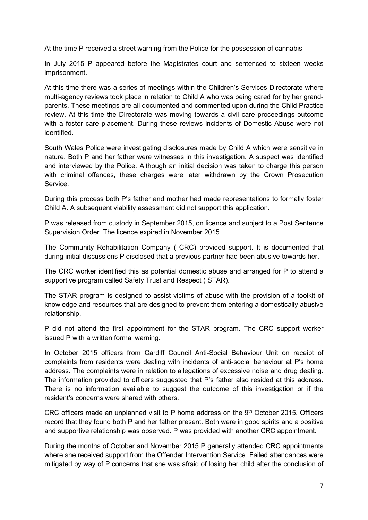At the time P received a street warning from the Police for the possession of cannabis.

In July 2015 P appeared before the Magistrates court and sentenced to sixteen weeks imprisonment.

At this time there was a series of meetings within the Children's Services Directorate where multi-agency reviews took place in relation to Child A who was being cared for by her grandparents. These meetings are all documented and commented upon during the Child Practice review. At this time the Directorate was moving towards a civil care proceedings outcome with a foster care placement. During these reviews incidents of Domestic Abuse were not identified.

South Wales Police were investigating disclosures made by Child A which were sensitive in nature. Both P and her father were witnesses in this investigation. A suspect was identified and interviewed by the Police. Although an initial decision was taken to charge this person with criminal offences, these charges were later withdrawn by the Crown Prosecution Service.

During this process both P's father and mother had made representations to formally foster Child A. A subsequent viability assessment did not support this application.

P was released from custody in September 2015, on licence and subject to a Post Sentence Supervision Order. The licence expired in November 2015.

The Community Rehabilitation Company ( CRC) provided support. It is documented that during initial discussions P disclosed that a previous partner had been abusive towards her.

The CRC worker identified this as potential domestic abuse and arranged for P to attend a supportive program called Safety Trust and Respect ( STAR).

The STAR program is designed to assist victims of abuse with the provision of a toolkit of knowledge and resources that are designed to prevent them entering a domestically abusive relationship.

P did not attend the first appointment for the STAR program. The CRC support worker issued P with a written formal warning.

In October 2015 officers from Cardiff Council Anti-Social Behaviour Unit on receipt of complaints from residents were dealing with incidents of anti-social behaviour at P's home address. The complaints were in relation to allegations of excessive noise and drug dealing. The information provided to officers suggested that P's father also resided at this address. There is no information available to suggest the outcome of this investigation or if the resident's concerns were shared with others.

CRC officers made an unplanned visit to P home address on the 9<sup>th</sup> October 2015. Officers record that they found both P and her father present. Both were in good spirits and a positive and supportive relationship was observed. P was provided with another CRC appointment.

During the months of October and November 2015 P generally attended CRC appointments where she received support from the Offender Intervention Service. Failed attendances were mitigated by way of P concerns that she was afraid of losing her child after the conclusion of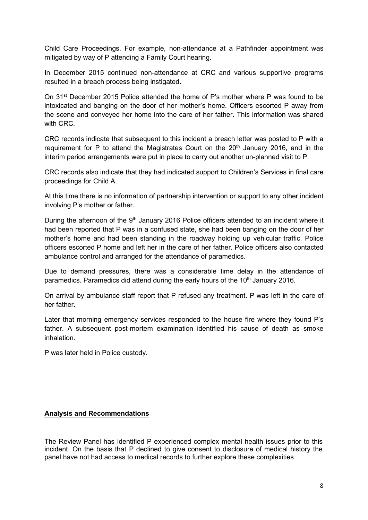Child Care Proceedings. For example, non-attendance at a Pathfinder appointment was mitigated by way of P attending a Family Court hearing.

In December 2015 continued non-attendance at CRC and various supportive programs resulted in a breach process being instigated.

On 31<sup>st</sup> December 2015 Police attended the home of P's mother where P was found to be intoxicated and banging on the door of her mother's home. Officers escorted P away from the scene and conveyed her home into the care of her father. This information was shared with CRC.

CRC records indicate that subsequent to this incident a breach letter was posted to P with a requirement for P to attend the Magistrates Court on the  $20<sup>th</sup>$  January 2016, and in the interim period arrangements were put in place to carry out another un-planned visit to P.

CRC records also indicate that they had indicated support to Children's Services in final care proceedings for Child A.

At this time there is no information of partnership intervention or support to any other incident involving P's mother or father.

During the afternoon of the 9<sup>th</sup> January 2016 Police officers attended to an incident where it had been reported that P was in a confused state, she had been banging on the door of her mother's home and had been standing in the roadway holding up vehicular traffic. Police officers escorted P home and left her in the care of her father. Police officers also contacted ambulance control and arranged for the attendance of paramedics.

Due to demand pressures, there was a considerable time delay in the attendance of paramedics. Paramedics did attend during the early hours of the  $10<sup>th</sup>$  January 2016.

On arrival by ambulance staff report that P refused any treatment. P was left in the care of her father.

Later that morning emergency services responded to the house fire where they found P's father. A subsequent post-mortem examination identified his cause of death as smoke inhalation.

P was later held in Police custody.

#### Analysis and Recommendations

The Review Panel has identified P experienced complex mental health issues prior to this incident. On the basis that P declined to give consent to disclosure of medical history the panel have not had access to medical records to further explore these complexities.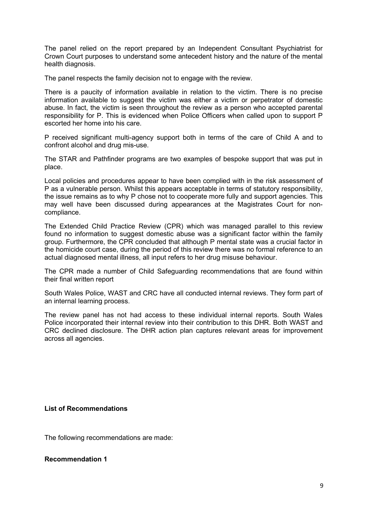The panel relied on the report prepared by an Independent Consultant Psychiatrist for Crown Court purposes to understand some antecedent history and the nature of the mental health diagnosis.

The panel respects the family decision not to engage with the review.

There is a paucity of information available in relation to the victim. There is no precise information available to suggest the victim was either a victim or perpetrator of domestic abuse. In fact, the victim is seen throughout the review as a person who accepted parental responsibility for P. This is evidenced when Police Officers when called upon to support P escorted her home into his care.

P received significant multi-agency support both in terms of the care of Child A and to confront alcohol and drug mis-use.

The STAR and Pathfinder programs are two examples of bespoke support that was put in place.

Local policies and procedures appear to have been complied with in the risk assessment of P as a vulnerable person. Whilst this appears acceptable in terms of statutory responsibility, the issue remains as to why P chose not to cooperate more fully and support agencies. This may well have been discussed during appearances at the Magistrates Court for noncompliance.

The Extended Child Practice Review (CPR) which was managed parallel to this review found no information to suggest domestic abuse was a significant factor within the family group. Furthermore, the CPR concluded that although P mental state was a crucial factor in the homicide court case, during the period of this review there was no formal reference to an actual diagnosed mental illness, all input refers to her drug misuse behaviour.

The CPR made a number of Child Safeguarding recommendations that are found within their final written report

South Wales Police, WAST and CRC have all conducted internal reviews. They form part of an internal learning process.

The review panel has not had access to these individual internal reports. South Wales Police incorporated their internal review into their contribution to this DHR. Both WAST and CRC declined disclosure. The DHR action plan captures relevant areas for improvement across all agencies.

#### List of Recommendations

The following recommendations are made:

Recommendation 1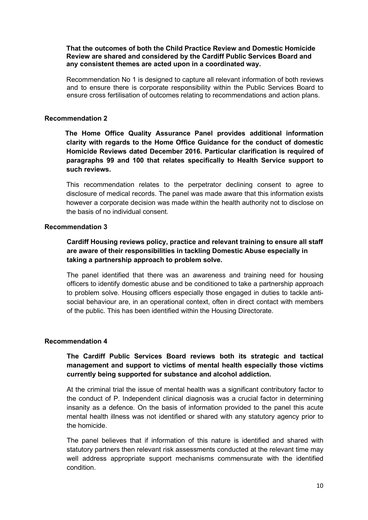#### That the outcomes of both the Child Practice Review and Domestic Homicide Review are shared and considered by the Cardiff Public Services Board and any consistent themes are acted upon in a coordinated way.

Recommendation No 1 is designed to capture all relevant information of both reviews and to ensure there is corporate responsibility within the Public Services Board to ensure cross fertilisation of outcomes relating to recommendations and action plans.

#### Recommendation 2

 The Home Office Quality Assurance Panel provides additional information clarity with regards to the Home Office Guidance for the conduct of domestic Homicide Reviews dated December 2016. Particular clarification is required of paragraphs 99 and 100 that relates specifically to Health Service support to such reviews.

This recommendation relates to the perpetrator declining consent to agree to disclosure of medical records. The panel was made aware that this information exists however a corporate decision was made within the health authority not to disclose on the basis of no individual consent.

#### Recommendation 3

Cardiff Housing reviews policy, practice and relevant training to ensure all staff are aware of their responsibilities in tackling Domestic Abuse especially in taking a partnership approach to problem solve.

The panel identified that there was an awareness and training need for housing officers to identify domestic abuse and be conditioned to take a partnership approach to problem solve. Housing officers especially those engaged in duties to tackle antisocial behaviour are, in an operational context, often in direct contact with members of the public. This has been identified within the Housing Directorate.

#### Recommendation 4

## The Cardiff Public Services Board reviews both its strategic and tactical management and support to victims of mental health especially those victims currently being supported for substance and alcohol addiction.

At the criminal trial the issue of mental health was a significant contributory factor to the conduct of P. Independent clinical diagnosis was a crucial factor in determining insanity as a defence. On the basis of information provided to the panel this acute mental health illness was not identified or shared with any statutory agency prior to the homicide.

The panel believes that if information of this nature is identified and shared with statutory partners then relevant risk assessments conducted at the relevant time may well address appropriate support mechanisms commensurate with the identified condition.